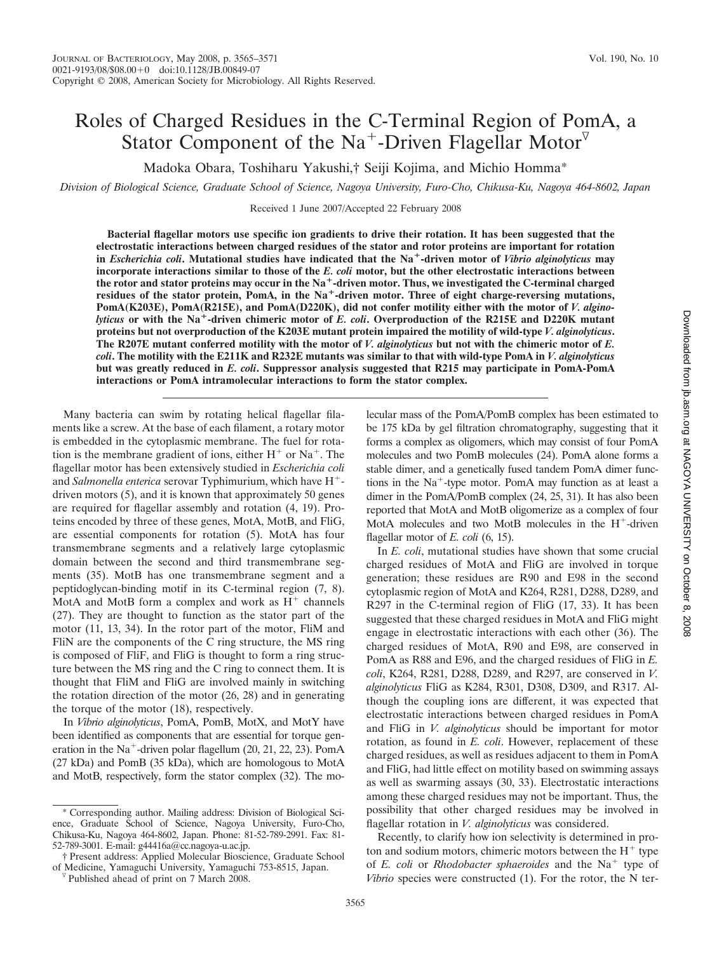# Roles of Charged Residues in the C-Terminal Region of PomA, a Stator Component of the Na<sup>+</sup>-Driven Flagellar Motor<sup> $\triangledown$ </sup>

Madoka Obara, Toshiharu Yakushi,† Seiji Kojima, and Michio Homma\*

*Division of Biological Science, Graduate School of Science, Nagoya University, Furo-Cho, Chikusa-Ku, Nagoya 464-8602, Japan*

Received 1 June 2007/Accepted 22 February 2008

**Bacterial flagellar motors use specific ion gradients to drive their rotation. It has been suggested that the electrostatic interactions between charged residues of the stator and rotor proteins are important for rotation in** *Escherichia coli***. Mutational studies have indicated that the Na-driven motor of** *Vibrio alginolyticus* **may incorporate interactions similar to those of the** *E. coli* **motor, but the other electrostatic interactions between the rotor and stator proteins may occur in the Na-driven motor. Thus, we investigated the C-terminal charged** residues of the stator protein, PomA, in the Na<sup>+</sup>-driven motor. Three of eight charge-reversing mutations, **PomA(K203E), PomA(R215E), and PomA(D220K), did not confer motility either with the motor of** *V. alginolyticus* **or with the Na-driven chimeric motor of** *E. coli***. Overproduction of the R215E and D220K mutant proteins but not overproduction of the K203E mutant protein impaired the motility of wild-type** *V. alginolyticus***. The R207E mutant conferred motility with the motor of** *V. alginolyticus* **but not with the chimeric motor of** *E. coli***. The motility with the E211K and R232E mutants was similar to that with wild-type PomA in** *V. alginolyticus* **but was greatly reduced in** *E. coli***. Suppressor analysis suggested that R215 may participate in PomA-PomA interactions or PomA intramolecular interactions to form the stator complex.**

Many bacteria can swim by rotating helical flagellar filaments like a screw. At the base of each filament, a rotary motor is embedded in the cytoplasmic membrane. The fuel for rotation is the membrane gradient of ions, either  $H^+$  or Na<sup>+</sup>. The flagellar motor has been extensively studied in *Escherichia coli* and *Salmonella enterica* serovar Typhimurium, which have H driven motors (5), and it is known that approximately 50 genes are required for flagellar assembly and rotation (4, 19). Proteins encoded by three of these genes, MotA, MotB, and FliG, are essential components for rotation (5). MotA has four transmembrane segments and a relatively large cytoplasmic domain between the second and third transmembrane segments (35). MotB has one transmembrane segment and a peptidoglycan-binding motif in its C-terminal region (7, 8). MotA and MotB form a complex and work as  $H<sup>+</sup>$  channels (27). They are thought to function as the stator part of the motor (11, 13, 34). In the rotor part of the motor, FliM and FliN are the components of the C ring structure, the MS ring is composed of FliF, and FliG is thought to form a ring structure between the MS ring and the C ring to connect them. It is thought that FliM and FliG are involved mainly in switching the rotation direction of the motor (26, 28) and in generating the torque of the motor (18), respectively.

In *Vibrio alginolyticus*, PomA, PomB, MotX, and MotY have been identified as components that are essential for torque generation in the Na<sup>+</sup>-driven polar flagellum  $(20, 21, 22, 23)$ . PomA (27 kDa) and PomB (35 kDa), which are homologous to MotA and MotB, respectively, form the stator complex (32). The molecular mass of the PomA/PomB complex has been estimated to be 175 kDa by gel filtration chromatography, suggesting that it forms a complex as oligomers, which may consist of four PomA molecules and two PomB molecules (24). PomA alone forms a stable dimer, and a genetically fused tandem PomA dimer functions in the  $Na<sup>+</sup>$ -type motor. PomA may function as at least a dimer in the PomA/PomB complex (24, 25, 31). It has also been reported that MotA and MotB oligomerize as a complex of four MotA molecules and two MotB molecules in the  $H^+$ -driven flagellar motor of *E. coli* (6, 15).

In *E. coli*, mutational studies have shown that some crucial charged residues of MotA and FliG are involved in torque generation; these residues are R90 and E98 in the second cytoplasmic region of MotA and K264, R281, D288, D289, and R297 in the C-terminal region of FliG (17, 33). It has been suggested that these charged residues in MotA and FliG might engage in electrostatic interactions with each other (36). The charged residues of MotA, R90 and E98, are conserved in PomA as R88 and E96, and the charged residues of FliG in *E. coli*, K264, R281, D288, D289, and R297, are conserved in *V. alginolyticus* FliG as K284, R301, D308, D309, and R317. Although the coupling ions are different, it was expected that electrostatic interactions between charged residues in PomA and FliG in *V. alginolyticus* should be important for motor rotation, as found in *E. coli*. However, replacement of these charged residues, as well as residues adjacent to them in PomA and FliG, had little effect on motility based on swimming assays as well as swarming assays (30, 33). Electrostatic interactions among these charged residues may not be important. Thus, the possibility that other charged residues may be involved in flagellar rotation in *V. alginolyticus* was considered.

Recently, to clarify how ion selectivity is determined in proton and sodium motors, chimeric motors between the  $H^+$  type of *E. coli* or *Rhodobacter sphaeroides* and the Na<sup>+</sup> type of *Vibrio* species were constructed (1). For the rotor, the N ter-

<sup>\*</sup> Corresponding author. Mailing address: Division of Biological Science, Graduate School of Science, Nagoya University, Furo-Cho, Chikusa-Ku, Nagoya 464-8602, Japan. Phone: 81-52-789-2991. Fax: 81- 52-789-3001. E-mail: g44416a@cc.nagoya-u.ac.jp.

<sup>†</sup> Present address: Applied Molecular Bioscience, Graduate School of Medicine, Yamaguchi University, Yamaguchi 753-8515, Japan. Published ahead of print on 7 March 2008.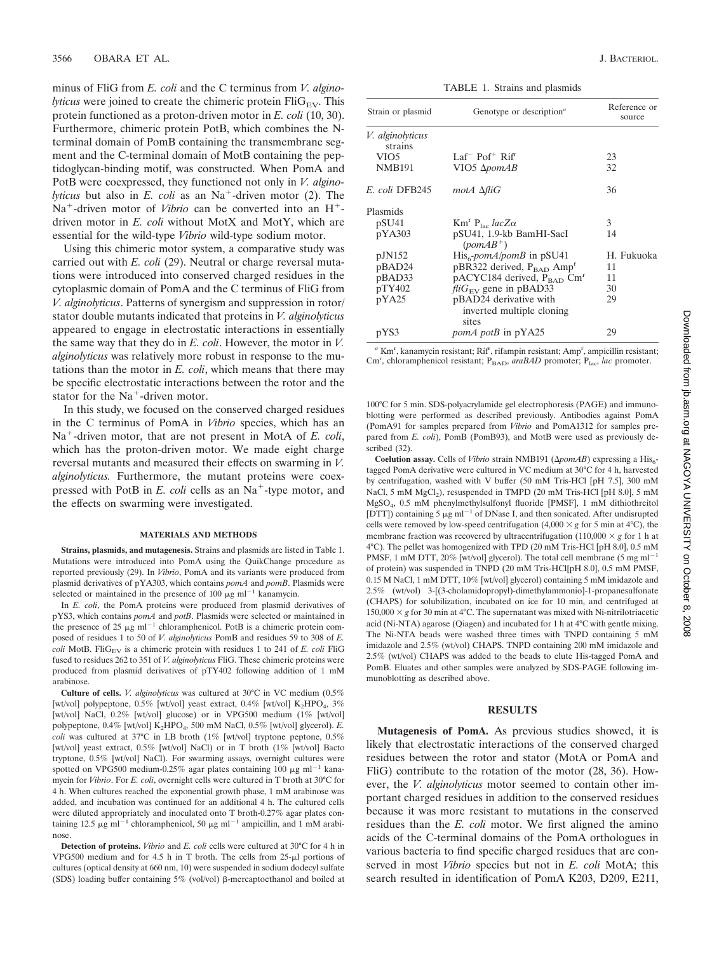minus of FliG from *E. coli* and the C terminus from *V. alginolyticus* were joined to create the chimeric protein  $\text{Fil}_{\text{EV}}$ . This protein functioned as a proton-driven motor in *E. coli* (10, 30). Furthermore, chimeric protein PotB, which combines the Nterminal domain of PomB containing the transmembrane segment and the C-terminal domain of MotB containing the peptidoglycan-binding motif, was constructed. When PomA and PotB were coexpressed, they functioned not only in *V. alginolyticus* but also in  $E$ . *coli* as an  $Na<sup>+</sup>$ -driven motor (2). The  $Na<sup>+</sup>$ -driven motor of *Vibrio* can be converted into an  $H<sup>+</sup>$ driven motor in *E. coli* without MotX and MotY, which are essential for the wild-type *Vibrio* wild-type sodium motor.

Using this chimeric motor system, a comparative study was carried out with *E. coli* (29). Neutral or charge reversal mutations were introduced into conserved charged residues in the cytoplasmic domain of PomA and the C terminus of FliG from *V. alginolyticus*. Patterns of synergism and suppression in rotor/ stator double mutants indicated that proteins in *V. alginolyticus* appeared to engage in electrostatic interactions in essentially the same way that they do in *E. coli*. However, the motor in *V. alginolyticus* was relatively more robust in response to the mutations than the motor in *E. coli*, which means that there may be specific electrostatic interactions between the rotor and the stator for the  $Na<sup>+</sup>$ -driven motor.

In this study, we focused on the conserved charged residues in the C terminus of PomA in *Vibrio* species, which has an Na<sup>+</sup>-driven motor, that are not present in MotA of *E. coli*, which has the proton-driven motor. We made eight charge reversal mutants and measured their effects on swarming in *V. alginolyticus.* Furthermore, the mutant proteins were coexpressed with PotB in *E. coli* cells as an Na<sup>+</sup>-type motor, and the effects on swarming were investigated.

#### **MATERIALS AND METHODS**

**Strains, plasmids, and mutagenesis.** Strains and plasmids are listed in Table 1. Mutations were introduced into PomA using the QuikChange procedure as reported previously (29). In *Vibrio*, PomA and its variants were produced from plasmid derivatives of pYA303, which contains *pomA* and *pomB*. Plasmids were selected or maintained in the presence of 100  $\mu$ g ml<sup>-1</sup> kanamycin.

In *E. coli*, the PomA proteins were produced from plasmid derivatives of pYS3, which contains *pomA* and *potB*. Plasmids were selected or maintained in the presence of 25  $\mu$ g ml<sup>-1</sup> chloramphenicol. PotB is a chimeric protein composed of residues 1 to 50 of *V. alginolyticus* PomB and residues 59 to 308 of *E.*  $\text{coli}$  MotB. Fli $\text{G}_{\text{EV}}$  is a chimeric protein with residues 1 to 241 of *E. coli* FliG fused to residues 262 to 351 of *V. alginolyticus* FliG. These chimeric proteins were produced from plasmid derivatives of pTY402 following addition of 1 mM arabinose.

**Culture of cells.** *V. alginolyticus* was cultured at 30°C in VC medium (0.5% [wt/vol] polypeptone,  $0.5\%$  [wt/vol] yeast extract,  $0.4\%$  [wt/vol] K<sub>2</sub>HPO<sub>4</sub>,  $3\%$ [wt/vol] NaCl, 0.2% [wt/vol] glucose) or in VPG500 medium (1% [wt/vol] polypeptone, 0.4% [wt/vol] K<sub>2</sub>HPO<sub>4</sub>, 500 mM NaCl, 0.5% [wt/vol] glycerol). *E. coli* was cultured at 37°C in LB broth (1% [wt/vol] tryptone peptone, 0.5% [wt/vol] yeast extract, 0.5% [wt/vol] NaCl) or in T broth (1% [wt/vol] Bacto tryptone, 0.5% [wt/vol] NaCl). For swarming assays, overnight cultures were spotted on VPG500 medium-0.25% agar plates containing 100  $\mu$ g ml<sup>-1</sup> kanamycin for *Vibrio*. For *E. coli*, overnight cells were cultured in T broth at 30°C for 4 h. When cultures reached the exponential growth phase, 1 mM arabinose was added, and incubation was continued for an additional 4 h. The cultured cells were diluted appropriately and inoculated onto T broth-0.27% agar plates containing 12.5  $\mu$ g ml<sup>-1</sup> chloramphenicol, 50  $\mu$ g ml<sup>-1</sup> ampicillin, and 1 mM arabinose.

**Detection of proteins.** *Vibrio* and *E. coli* cells were cultured at 30°C for 4 h in VPG500 medium and for 4.5 h in T broth. The cells from  $25-\mu l$  portions of cultures (optical density at 660 nm, 10) were suspended in sodium dodecyl sulfate (SDS) loading buffer containing  $5\%$  (vol/vol)  $\beta$ -mercaptoethanol and boiled at

TABLE 1. Strains and plasmids

| Strain or plasmid                  | Genotype or description <sup>a</sup>                            | Reference or<br>source |
|------------------------------------|-----------------------------------------------------------------|------------------------|
| <i>V. alginolyticus</i><br>strains |                                                                 |                        |
| VIO5                               | Laf <sup>-</sup> Pof <sup>+</sup> Rif <sup><math>r</math></sup> | 23                     |
| <b>NMB191</b>                      | VIO5 Δ <i>pomAB</i>                                             | 32                     |
| E. coli DFB245                     | $modA \triangle filG$                                           | 36                     |
| Plasmids                           |                                                                 |                        |
| pSU <sub>41</sub>                  | $\mathrm{Km}^{\mathrm{r}}$ P <sub>lac</sub> lacZ $\alpha$       | 3                      |
| pYA303                             | pSU41, 1.9-kb BamHI-SacI<br>$(pomAB^+)$                         | 14                     |
| pJN152                             | $His6$ -pomA/pomB in pSU41                                      | H. Fukuoka             |
| pBAD24                             | $pBR322$ derived, $P_{BAD}$ Amp <sup>r</sup>                    | 11                     |
| pBAD33                             | $p$ ACYC184 derived, $P_{\text{BAD}}$ Cm <sup>r</sup>           | 11                     |
| pTY402                             | $\frac{f}{iG_{EV}}$ gene in pBAD33                              | 30                     |
| pYA25                              | pBAD24 derivative with                                          | 29                     |
|                                    | inverted multiple cloning<br>sites                              |                        |
| pYS3                               | <i>pomA potB</i> in pYA25                                       | 29                     |

<sup>a</sup> Km<sup>r</sup>, kanamycin resistant; Rif<sup>r</sup>, rifampin resistant; Amp<sup>r</sup>, ampicillin resistant; Cm<sup>r</sup>, chloramphenicol resistant; P<sub>BAD</sub>, *araBAD* promoter; P<sub>lac</sub>, *lac* promoter.

100°C for 5 min. SDS-polyacrylamide gel electrophoresis (PAGE) and immunoblotting were performed as described previously. Antibodies against PomA (PomA91 for samples prepared from *Vibrio* and PomA1312 for samples prepared from *E. coli*), PomB (PomB93), and MotB were used as previously described (32).

**Coelution assay.** Cells of *Vibrio* strain NMB191 ( $\Delta p$ *omAB*) expressing a His<sub>6</sub>tagged PomA derivative were cultured in VC medium at 30°C for 4 h, harvested by centrifugation, washed with V buffer (50 mM Tris-HCl [pH 7.5], 300 mM NaCl, 5 mM MgCl<sub>2</sub>), resuspended in TMPD (20 mM Tris-HCl [pH 8.0], 5 mM MgSO4, 0.5 mM phenylmethylsulfonyl fluoride [PMSF], 1 mM dithiothreitol [DTT]) containing 5  $\mu$ g ml<sup>-1</sup> of DNase I, and then sonicated. After undisrupted cells were removed by low-speed centrifugation (4,000  $\times$  *g* for 5 min at 4°C), the membrane fraction was recovered by ultracentrifugation (110,000  $\times$  g for 1 h at 4°C). The pellet was homogenized with TPD (20 mM Tris-HCl [pH 8.0], 0.5 mM PMSF, 1 mM DTT, 20% [wt/vol] glycerol). The total cell membrane (5 mg ml<sup>-1</sup> of protein) was suspended in TNPD (20 mM Tris-HCl[pH 8.0], 0.5 mM PMSF, 0.15 M NaCl, 1 mM DTT, 10% [wt/vol] glycerol) containing 5 mM imidazole and 2.5% (wt/vol) 3-[(3-cholamidopropyl)-dimethylammonio]-1-propanesulfonate (CHAPS) for solubilization, incubated on ice for 10 min, and centrifuged at  $150,000 \times g$  for 30 min at 4°C. The supernatant was mixed with Ni-nitrilotriacetic acid (Ni-NTA) agarose (Qiagen) and incubated for 1 h at 4°C with gentle mixing. The Ni-NTA beads were washed three times with TNPD containing 5 mM imidazole and 2.5% (wt/vol) CHAPS. TNPD containing 200 mM imidazole and 2.5% (wt/vol) CHAPS was added to the beads to elute His-tagged PomA and PomB. Eluates and other samples were analyzed by SDS-PAGE following immunoblotting as described above.

#### **RESULTS**

**Mutagenesis of PomA.** As previous studies showed, it is likely that electrostatic interactions of the conserved charged residues between the rotor and stator (MotA or PomA and FliG) contribute to the rotation of the motor (28, 36). However, the *V. alginolyticus* motor seemed to contain other important charged residues in addition to the conserved residues because it was more resistant to mutations in the conserved residues than the *E. coli* motor. We first aligned the amino acids of the C-terminal domains of the PomA orthologues in various bacteria to find specific charged residues that are conserved in most *Vibrio* species but not in *E. coli* MotA; this search resulted in identification of PomA K203, D209, E211,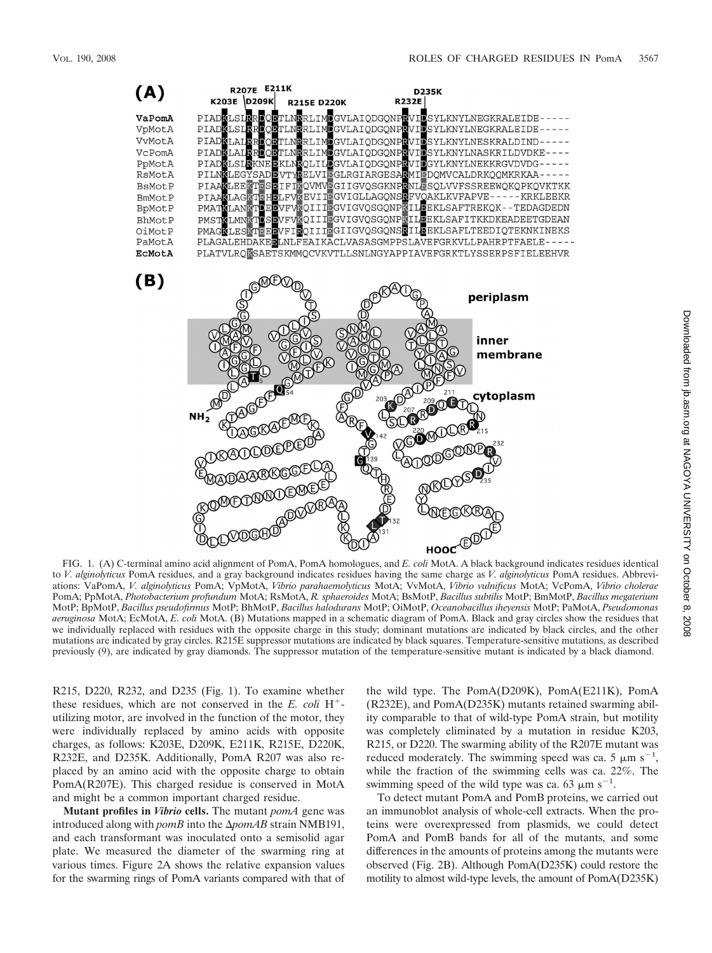

FIG. 1. (A) C-terminal amino acid alignment of PomA, PomA homologues, and *E. coli* MotA. A black background indicates residues identical to *V. alginolyticus* PomA residues, and a gray background indicates residues having the same charge as *V. alginolyticus* PomA residues. Abbreviations: VaPomA, *V. alginolyticus* PomA; VpMotA, *Vibrio parahaemolyticus* MotA; VvMotA, *Vibrio vulnificus* MotA; VcPomA, *Vibrio cholerae* PomA; PpMotA, *Photobacterium profundum* MotA; RsMotA, *R. sphaeroides* MotA; BsMotP, *Bacillus subtilis* MotP; BmMotP, *Bacillus megaterium* MotP; BpMotP, *Bacillus pseudofirmus* MotP; BhMotP, *Bacillus halodurans* MotP; OiMotP, *Oceanobacillus iheyensis* MotP; PaMotA, *Pseudomonas aeruginosa* MotA; EcMotA, *E. coli* MotA. (B) Mutations mapped in a schematic diagram of PomA. Black and gray circles show the residues that we individually replaced with residues with the opposite charge in this study; dominant mutations are indicated by black circles, and the other mutations are indicated by gray circles. R215E suppressor mutations are indicated by black squares. Temperature-sensitive mutations, as described previously (9), are indicated by gray diamonds. The suppressor mutation of the temperature-sensitive mutant is indicated by a black diamond.

R215, D220, R232, and D235 (Fig. 1). To examine whether these residues, which are not conserved in the *E. coli* H utilizing motor, are involved in the function of the motor, they were individually replaced by amino acids with opposite charges, as follows: K203E, D209K, E211K, R215E, D220K, R232E, and D235K. Additionally, PomA R207 was also replaced by an amino acid with the opposite charge to obtain PomA(R207E). This charged residue is conserved in MotA and might be a common important charged residue.

**Mutant profiles in** *Vibrio* **cells.** The mutant *pomA* gene was introduced along with *pomB* into the  $\Delta p$ omAB strain NMB191, and each transformant was inoculated onto a semisolid agar plate. We measured the diameter of the swarming ring at various times. Figure 2A shows the relative expansion values for the swarming rings of PomA variants compared with that of the wild type. The PomA(D209K), PomA(E211K), PomA (R232E), and PomA(D235K) mutants retained swarming ability comparable to that of wild-type PomA strain, but motility was completely eliminated by a mutation in residue K203, R215, or D220. The swarming ability of the R207E mutant was reduced moderately. The swimming speed was ca. 5  $\mu$ m s<sup>-1</sup>, while the fraction of the swimming cells was ca. 22%. The swimming speed of the wild type was ca. 63  $\mu$ m s<sup>-1</sup>.

To detect mutant PomA and PomB proteins, we carried out an immunoblot analysis of whole-cell extracts. When the proteins were overexpressed from plasmids, we could detect PomA and PomB bands for all of the mutants, and some differences in the amounts of proteins among the mutants were observed (Fig. 2B). Although PomA(D235K) could restore the motility to almost wild-type levels, the amount of PomA(D235K)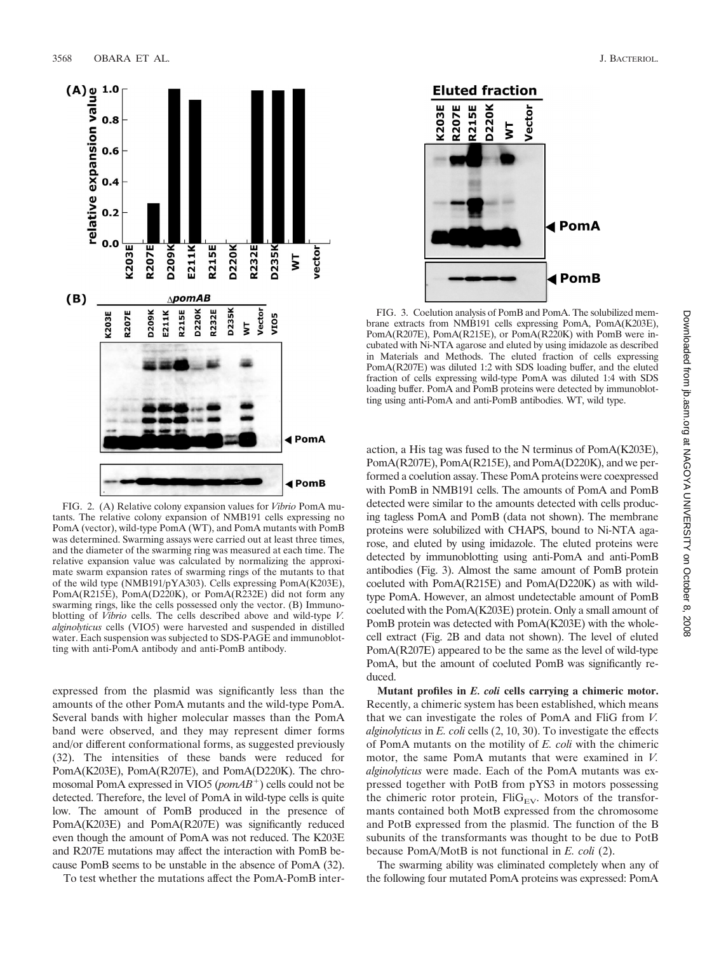

FIG. 2. (A) Relative colony expansion values for *Vibrio* PomA mutants. The relative colony expansion of NMB191 cells expressing no PomA (vector), wild-type PomA (WT), and PomA mutants with PomB was determined. Swarming assays were carried out at least three times, and the diameter of the swarming ring was measured at each time. The relative expansion value was calculated by normalizing the approximate swarm expansion rates of swarming rings of the mutants to that of the wild type (NMB191/pYA303). Cells expressing PomA(K203E), PomA(R215E), PomA(D220K), or PomA(R232E) did not form any swarming rings, like the cells possessed only the vector. (B) Immunoblotting of *Vibrio* cells. The cells described above and wild-type *V. alginolyticus* cells (VIO5) were harvested and suspended in distilled water. Each suspension was subjected to SDS-PAGE and immunoblotting with anti-PomA antibody and anti-PomB antibody.

expressed from the plasmid was significantly less than the amounts of the other PomA mutants and the wild-type PomA. Several bands with higher molecular masses than the PomA band were observed, and they may represent dimer forms and/or different conformational forms, as suggested previously (32). The intensities of these bands were reduced for PomA(K203E), PomA(R207E), and PomA(D220K). The chromosomal PomA expressed in VIO5 (*pomAB*<sup>+</sup>) cells could not be detected. Therefore, the level of PomA in wild-type cells is quite low. The amount of PomB produced in the presence of PomA(K203E) and PomA(R207E) was significantly reduced even though the amount of PomA was not reduced. The K203E and R207E mutations may affect the interaction with PomB because PomB seems to be unstable in the absence of PomA (32).

To test whether the mutations affect the PomA-PomB inter-



FIG. 3. Coelution analysis of PomB and PomA. The solubilized membrane extracts from NMB191 cells expressing PomA, PomA(K203E), PomA(R207E), PomA(R215E), or PomA(R220K) with PomB were incubated with Ni-NTA agarose and eluted by using imidazole as described in Materials and Methods. The eluted fraction of cells expressing PomA(R207E) was diluted 1:2 with SDS loading buffer, and the eluted fraction of cells expressing wild-type PomA was diluted 1:4 with SDS loading buffer. PomA and PomB proteins were detected by immunoblotting using anti-PomA and anti-PomB antibodies. WT, wild type.

action, a His tag was fused to the N terminus of PomA(K203E), PomA(R207E), PomA(R215E), and PomA(D220K), and we performed a coelution assay. These PomA proteins were coexpressed with PomB in NMB191 cells. The amounts of PomA and PomB detected were similar to the amounts detected with cells producing tagless PomA and PomB (data not shown). The membrane proteins were solubilized with CHAPS, bound to Ni-NTA agarose, and eluted by using imidazole. The eluted proteins were detected by immunoblotting using anti-PomA and anti-PomB antibodies (Fig. 3). Almost the same amount of PomB protein coeluted with PomA(R215E) and PomA(D220K) as with wildtype PomA. However, an almost undetectable amount of PomB coeluted with the PomA(K203E) protein. Only a small amount of PomB protein was detected with PomA(K203E) with the wholecell extract (Fig. 2B and data not shown). The level of eluted PomA(R207E) appeared to be the same as the level of wild-type PomA, but the amount of coeluted PomB was significantly reduced.

**Mutant profiles in** *E. coli* **cells carrying a chimeric motor.** Recently, a chimeric system has been established, which means that we can investigate the roles of PomA and FliG from *V. alginolyticus* in *E. coli* cells (2, 10, 30). To investigate the effects of PomA mutants on the motility of *E. coli* with the chimeric motor, the same PomA mutants that were examined in *V. alginolyticus* were made. Each of the PomA mutants was expressed together with PotB from pYS3 in motors possessing the chimeric rotor protein,  $\text{FliG}_{EV}$ . Motors of the transformants contained both MotB expressed from the chromosome and PotB expressed from the plasmid. The function of the B subunits of the transformants was thought to be due to PotB because PomA/MotB is not functional in *E. coli* (2).

The swarming ability was eliminated completely when any of the following four mutated PomA proteins was expressed: PomA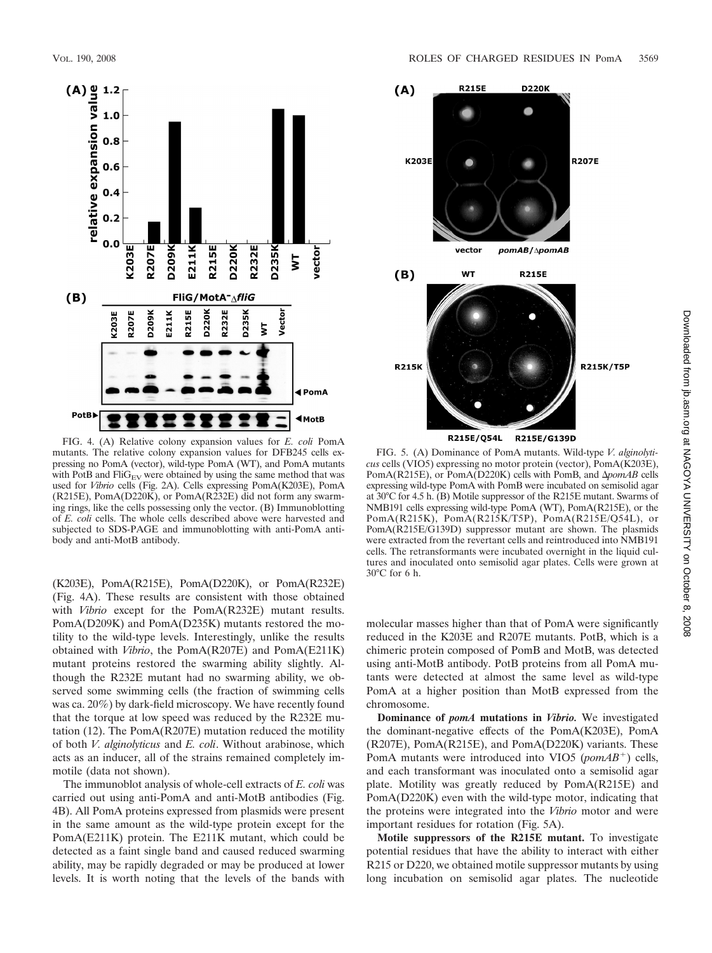

FIG. 4. (A) Relative colony expansion values for *E. coli* PomA mutants. The relative colony expansion values for DFB245 cells expressing no PomA (vector), wild-type PomA (WT), and PomA mutants with PotB and  $\text{FliG}_{EV}$  were obtained by using the same method that was used for *Vibrio* cells (Fig. 2A). Cells expressing PomA(K203E), PomA (R215E), PomA(D220K), or PomA(R232E) did not form any swarming rings, like the cells possessing only the vector. (B) Immunoblotting of *E. coli* cells. The whole cells described above were harvested and subjected to SDS-PAGE and immunoblotting with anti-PomA antibody and anti-MotB antibody.

(K203E), PomA(R215E), PomA(D220K), or PomA(R232E) (Fig. 4A). These results are consistent with those obtained with *Vibrio* except for the PomA(R232E) mutant results. PomA(D209K) and PomA(D235K) mutants restored the motility to the wild-type levels. Interestingly, unlike the results obtained with *Vibrio*, the PomA(R207E) and PomA(E211K) mutant proteins restored the swarming ability slightly. Although the R232E mutant had no swarming ability, we observed some swimming cells (the fraction of swimming cells was ca. 20%) by dark-field microscopy. We have recently found that the torque at low speed was reduced by the R232E mutation (12). The PomA(R207E) mutation reduced the motility of both *V. alginolyticus* and *E. coli*. Without arabinose, which acts as an inducer, all of the strains remained completely immotile (data not shown).

The immunoblot analysis of whole-cell extracts of *E. coli* was carried out using anti-PomA and anti-MotB antibodies (Fig. 4B). All PomA proteins expressed from plasmids were present in the same amount as the wild-type protein except for the PomA(E211K) protein. The E211K mutant, which could be detected as a faint single band and caused reduced swarming ability, may be rapidly degraded or may be produced at lower levels. It is worth noting that the levels of the bands with



FIG. 5. (A) Dominance of PomA mutants. Wild-type *V. alginolyticus* cells (VIO5) expressing no motor protein (vector), PomA(K203E), PomA(R215E), or PomA(D220K) cells with PomB, and  $\Delta p$ omAB cells expressing wild-type PomA with PomB were incubated on semisolid agar at 30°C for 4.5 h. (B) Motile suppressor of the R215E mutant. Swarms of NMB191 cells expressing wild-type PomA (WT), PomA(R215E), or the PomA(R215K), PomA(R215K/T5P), PomA(R215E/Q54L), or PomA(R215E/G139D) suppressor mutant are shown. The plasmids were extracted from the revertant cells and reintroduced into NMB191 cells. The retransformants were incubated overnight in the liquid cultures and inoculated onto semisolid agar plates. Cells were grown at 30°C for 6 h.

molecular masses higher than that of PomA were significantly reduced in the K203E and R207E mutants. PotB, which is a chimeric protein composed of PomB and MotB, was detected using anti-MotB antibody. PotB proteins from all PomA mutants were detected at almost the same level as wild-type PomA at a higher position than MotB expressed from the chromosome.

**Dominance of** *pomA* **mutations in** *Vibrio.* We investigated the dominant-negative effects of the PomA(K203E), PomA (R207E), PomA(R215E), and PomA(D220K) variants. These PomA mutants were introduced into VIO5 (*pomAB*<sup>+</sup>) cells, and each transformant was inoculated onto a semisolid agar plate. Motility was greatly reduced by PomA(R215E) and PomA(D220K) even with the wild-type motor, indicating that the proteins were integrated into the *Vibrio* motor and were important residues for rotation (Fig. 5A).

**Motile suppressors of the R215E mutant.** To investigate potential residues that have the ability to interact with either R215 or D220, we obtained motile suppressor mutants by using long incubation on semisolid agar plates. The nucleotide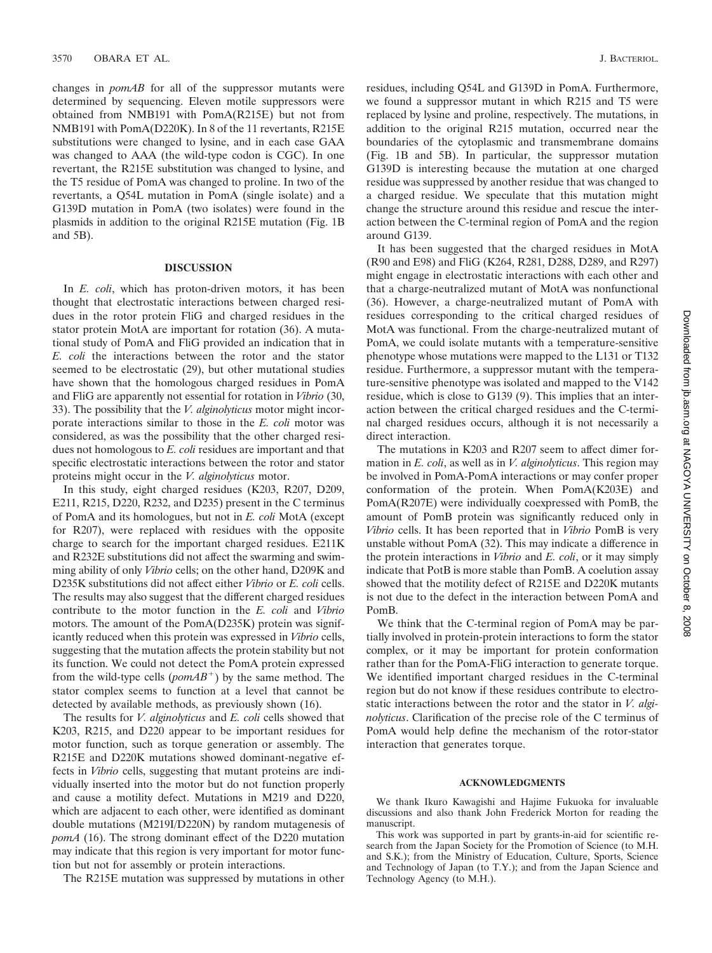changes in *pomAB* for all of the suppressor mutants were determined by sequencing. Eleven motile suppressors were obtained from NMB191 with PomA(R215E) but not from NMB191 with PomA(D220K). In 8 of the 11 revertants, R215E substitutions were changed to lysine, and in each case GAA was changed to AAA (the wild-type codon is CGC). In one revertant, the R215E substitution was changed to lysine, and the T5 residue of PomA was changed to proline. In two of the revertants, a Q54L mutation in PomA (single isolate) and a G139D mutation in PomA (two isolates) were found in the plasmids in addition to the original R215E mutation (Fig. 1B and 5B).

## **DISCUSSION**

In *E. coli*, which has proton-driven motors, it has been thought that electrostatic interactions between charged residues in the rotor protein FliG and charged residues in the stator protein MotA are important for rotation (36). A mutational study of PomA and FliG provided an indication that in *E. coli* the interactions between the rotor and the stator seemed to be electrostatic (29), but other mutational studies have shown that the homologous charged residues in PomA and FliG are apparently not essential for rotation in *Vibrio* (30, 33). The possibility that the *V. alginolyticus* motor might incorporate interactions similar to those in the *E. coli* motor was considered, as was the possibility that the other charged residues not homologous to *E. coli* residues are important and that specific electrostatic interactions between the rotor and stator proteins might occur in the *V. alginolyticus* motor.

In this study, eight charged residues (K203, R207, D209, E211, R215, D220, R232, and D235) present in the C terminus of PomA and its homologues, but not in *E. coli* MotA (except for R207), were replaced with residues with the opposite charge to search for the important charged residues. E211K and R232E substitutions did not affect the swarming and swimming ability of only *Vibrio* cells; on the other hand, D209K and D235K substitutions did not affect either *Vibrio* or *E. coli* cells. The results may also suggest that the different charged residues contribute to the motor function in the *E. coli* and *Vibrio* motors. The amount of the PomA(D235K) protein was significantly reduced when this protein was expressed in *Vibrio* cells, suggesting that the mutation affects the protein stability but not its function. We could not detect the PomA protein expressed from the wild-type cells (*pomAB*<sup>+</sup>) by the same method. The stator complex seems to function at a level that cannot be detected by available methods, as previously shown (16).

The results for *V. alginolyticus* and *E. coli* cells showed that K203, R215, and D220 appear to be important residues for motor function, such as torque generation or assembly. The R215E and D220K mutations showed dominant-negative effects in *Vibrio* cells, suggesting that mutant proteins are individually inserted into the motor but do not function properly and cause a motility defect. Mutations in M219 and D220, which are adjacent to each other, were identified as dominant double mutations (M219I/D220N) by random mutagenesis of *pomA* (16). The strong dominant effect of the D220 mutation may indicate that this region is very important for motor function but not for assembly or protein interactions.

The R215E mutation was suppressed by mutations in other

residues, including Q54L and G139D in PomA. Furthermore, we found a suppressor mutant in which R215 and T5 were replaced by lysine and proline, respectively. The mutations, in addition to the original R215 mutation, occurred near the boundaries of the cytoplasmic and transmembrane domains (Fig. 1B and 5B). In particular, the suppressor mutation G139D is interesting because the mutation at one charged residue was suppressed by another residue that was changed to a charged residue. We speculate that this mutation might change the structure around this residue and rescue the interaction between the C-terminal region of PomA and the region around G139.

It has been suggested that the charged residues in MotA (R90 and E98) and FliG (K264, R281, D288, D289, and R297) might engage in electrostatic interactions with each other and that a charge-neutralized mutant of MotA was nonfunctional (36). However, a charge-neutralized mutant of PomA with residues corresponding to the critical charged residues of MotA was functional. From the charge-neutralized mutant of PomA, we could isolate mutants with a temperature-sensitive phenotype whose mutations were mapped to the L131 or T132 residue. Furthermore, a suppressor mutant with the temperature-sensitive phenotype was isolated and mapped to the V142 residue, which is close to G139 (9). This implies that an interaction between the critical charged residues and the C-terminal charged residues occurs, although it is not necessarily a direct interaction.

The mutations in K203 and R207 seem to affect dimer formation in *E. coli*, as well as in *V. alginolyticus*. This region may be involved in PomA-PomA interactions or may confer proper conformation of the protein. When PomA(K203E) and PomA(R207E) were individually coexpressed with PomB, the amount of PomB protein was significantly reduced only in *Vibrio* cells. It has been reported that in *Vibrio* PomB is very unstable without PomA (32). This may indicate a difference in the protein interactions in *Vibrio* and *E. coli*, or it may simply indicate that PotB is more stable than PomB. A coelution assay showed that the motility defect of R215E and D220K mutants is not due to the defect in the interaction between PomA and PomB.

We think that the C-terminal region of PomA may be partially involved in protein-protein interactions to form the stator complex, or it may be important for protein conformation rather than for the PomA-FliG interaction to generate torque. We identified important charged residues in the C-terminal region but do not know if these residues contribute to electrostatic interactions between the rotor and the stator in *V. alginolyticus*. Clarification of the precise role of the C terminus of PomA would help define the mechanism of the rotor-stator interaction that generates torque.

## **ACKNOWLEDGMENTS**

We thank Ikuro Kawagishi and Hajime Fukuoka for invaluable discussions and also thank John Frederick Morton for reading the manuscript.

This work was supported in part by grants-in-aid for scientific research from the Japan Society for the Promotion of Science (to M.H. and S.K.); from the Ministry of Education, Culture, Sports, Science and Technology of Japan (to T.Y.); and from the Japan Science and Technology Agency (to M.H.).